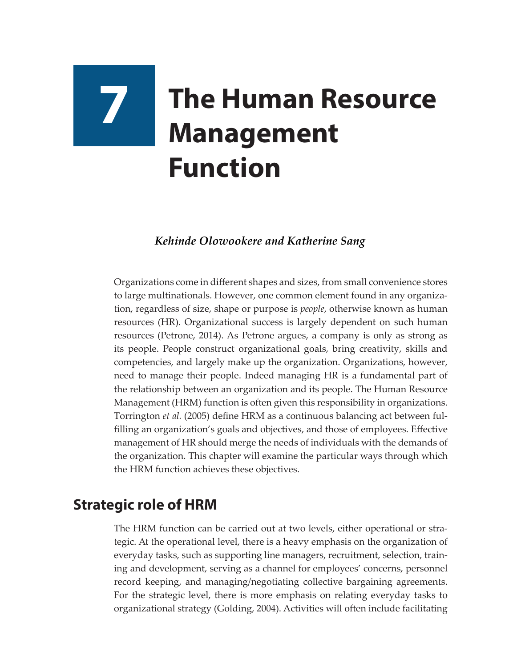# **7 The Human Resource Management Function**

### *Kehinde Olowookere and Katherine Sang*

Organizations come in different shapes and sizes, from small convenience stores to large multinationals. However, one common element found in any organization, regardless of size, shape or purpose is *people*, otherwise known as human resources (HR). Organizational success is largely dependent on such human resources (Petrone, 2014). As Petrone argues, a company is only as strong as its people. People construct organizational goals, bring creativity, skills and competencies, and largely make up the organization. Organizations, however, need to manage their people. Indeed managing HR is a fundamental part of the relationship between an organization and its people. The Human Resource Management (HRM) function is often given this responsibility in organizations. Torrington *et al.* (2005) define HRM as a continuous balancing act between fulfilling an organization's goals and objectives, and those of employees. Effective management of HR should merge the needs of individuals with the demands of the organization. This chapter will examine the particular ways through which the HRM function achieves these objectives.

## **Strategic role of HRM**

The HRM function can be carried out at two levels, either operational or strategic. At the operational level, there is a heavy emphasis on the organization of everyday tasks, such as supporting line managers, recruitment, selection, training and development, serving as a channel for employees' concerns, personnel record keeping, and managing/negotiating collective bargaining agreements. For the strategic level, there is more emphasis on relating everyday tasks to organizational strategy (Golding, 2004). Activities will often include facilitating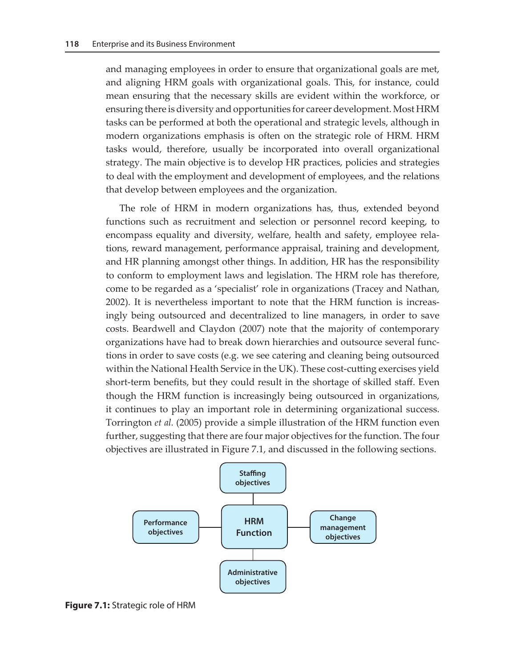and managing employees in order to ensure that organizational goals are met, and aligning HRM goals with organizational goals. This, for instance, could mean ensuring that the necessary skills are evident within the workforce, or ensuring there is diversity and opportunities for career development. Most HRM tasks can be performed at both the operational and strategic levels, although in modern organizations emphasis is often on the strategic role of HRM. HRM tasks would, therefore, usually be incorporated into overall organizational strategy. The main objective is to develop HR practices, policies and strategies to deal with the employment and development of employees, and the relations that develop between employees and the organization.

The role of HRM in modern organizations has, thus, extended beyond functions such as recruitment and selection or personnel record keeping, to encompass equality and diversity, welfare, health and safety, employee relations, reward management, performance appraisal, training and development, and HR planning amongst other things. In addition, HR has the responsibility to conform to employment laws and legislation. The HRM role has therefore, come to be regarded as a 'specialist' role in organizations (Tracey and Nathan, 2002). It is nevertheless important to note that the HRM function is increasingly being outsourced and decentralized to line managers, in order to save costs. Beardwell and Claydon (2007) note that the majority of contemporary organizations have had to break down hierarchies and outsource several functions in order to save costs (e.g. we see catering and cleaning being outsourced within the National Health Service in the UK). These cost-cutting exercises yield short-term benefits, but they could result in the shortage of skilled staff. Even though the HRM function is increasingly being outsourced in organizations, it continues to play an important role in determining organizational success. Torrington *et al.* (2005) provide a simple illustration of the HRM function even further, suggesting that there are four major objectives for the function. The four objectives are illustrated in Figure 7.1, and discussed in the following sections.



**Figure 7.1:** Strategic role of HRM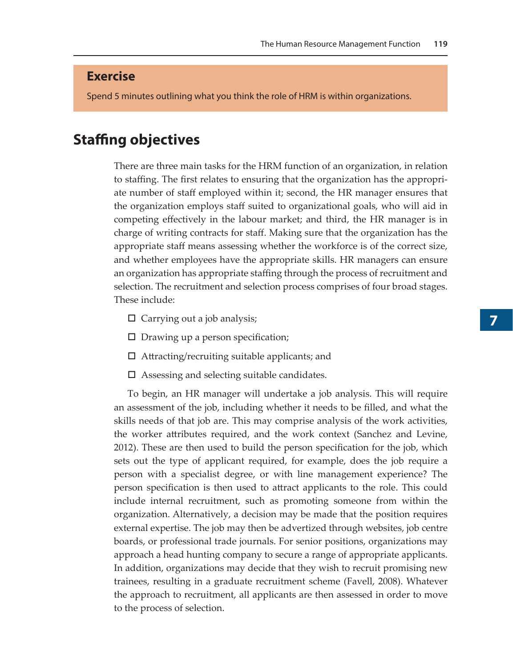#### **Exercise**

Spend 5 minutes outlining what you think the role of HRM is within organizations.

## **Staffing objectives**

There are three main tasks for the HRM function of an organization, in relation to staffing. The first relates to ensuring that the organization has the appropriate number of staff employed within it; second, the HR manager ensures that the organization employs staff suited to organizational goals, who will aid in competing effectively in the labour market; and third, the HR manager is in charge of writing contracts for staff. Making sure that the organization has the appropriate staff means assessing whether the workforce is of the correct size, and whether employees have the appropriate skills. HR managers can ensure an organization has appropriate staffing through the process of recruitment and selection. The recruitment and selection process comprises of four broad stages. These include:

- $\Box$  Carrying out a job analysis;
- $\square$  Drawing up a person specification;
- $\Box$  Attracting/recruiting suitable applicants; and
- $\square$  Assessing and selecting suitable candidates.

To begin, an HR manager will undertake a job analysis. This will require an assessment of the job, including whether it needs to be filled, and what the skills needs of that job are. This may comprise analysis of the work activities, the worker attributes required, and the work context (Sanchez and Levine, 2012). These are then used to build the person specification for the job, which sets out the type of applicant required, for example, does the job require a person with a specialist degree, or with line management experience? The person specification is then used to attract applicants to the role. This could include internal recruitment, such as promoting someone from within the organization. Alternatively, a decision may be made that the position requires external expertise. The job may then be advertized through websites, job centre boards, or professional trade journals. For senior positions, organizations may approach a head hunting company to secure a range of appropriate applicants. In addition, organizations may decide that they wish to recruit promising new trainees, resulting in a graduate recruitment scheme (Favell, 2008). Whatever the approach to recruitment, all applicants are then assessed in order to move to the process of selection.